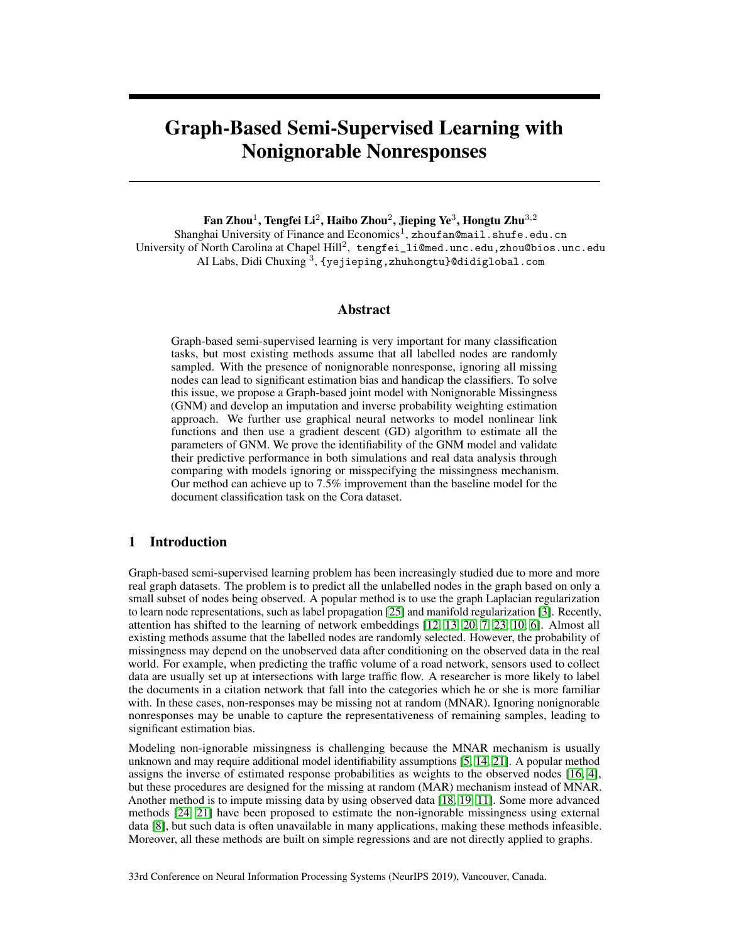# Graph-Based Semi-Supervised Learning with Nonignorable Nonresponses

Fan Zhou $^1$ , Tengfei Li $^2$ , Haibo Zhou $^2$ , Jieping Ye $^3$ , Hongtu Zhu $^{3,2}$ 

Shanghai University of Finance and Economics<sup>1</sup>, zhouf an@mail.shufe.edu.cn University of North Carolina at Chapel Hill<sup>2</sup>, tengfei\_li@med.unc.edu,zhou@bios.unc.edu AI Labs, Didi Chuxing  $^3$ , {yejieping,zhuhongtu}@didiglobal.com

# Abstract

Graph-based semi-supervised learning is very important for many classification tasks, but most existing methods assume that all labelled nodes are randomly sampled. With the presence of nonignorable nonresponse, ignoring all missing nodes can lead to significant estimation bias and handicap the classifiers. To solve this issue, we propose a Graph-based joint model with Nonignorable Missingness (GNM) and develop an imputation and inverse probability weighting estimation approach. We further use graphical neural networks to model nonlinear link functions and then use a gradient descent (GD) algorithm to estimate all the parameters of GNM. We prove the identifiability of the GNM model and validate their predictive performance in both simulations and real data analysis through comparing with models ignoring or misspecifying the missingness mechanism. Our method can achieve up to 7.5% improvement than the baseline model for the document classification task on the Cora dataset.

# 1 Introduction

Graph-based semi-supervised learning problem has been increasingly studied due to more and more real graph datasets. The problem is to predict all the unlabelled nodes in the graph based on only a small subset of nodes being observed. A popular method is to use the graph Laplacian regularization to learn node representations, such as label propagation [25] and manifold regularization [3]. Recently, attention has shifted to the learning of network embeddings [12, 13, 20, 7, 23, 10, 6]. Almost all existing methods assume that the labelled nodes are randomly selected. However, the probability of missingness may depend on the unobserved data after conditioning on the observed data in the real world. For example, when predicting the traffic volume of a road network, sensors used to collect data are usually set up at intersections with large traffic flow. A researcher is more likely to label the documents in a citation network that fall into the categories which he or she is more familiar with. In these cases, non-responses may be missing not at random (MNAR). Ignoring nonignorable nonresponses may be unable to capture the representativeness of remaining samples, leading to significant estimation bias.

Modeling non-ignorable missingness is challenging because the MNAR mechanism is usually unknown and may require additional model identifiability assumptions [5, 14, 21]. A popular method assigns the inverse of estimated response probabilities as weights to the observed nodes [16, 4], but these procedures are designed for the missing at random (MAR) mechanism instead of MNAR. Another method is to impute missing data by using observed data [18, 19, 11]. Some more advanced methods [24, 21] have been proposed to estimate the non-ignorable missingness using external data [8], but such data is often unavailable in many applications, making these methods infeasible. Moreover, all these methods are built on simple regressions and are not directly applied to graphs.

33rd Conference on Neural Information Processing Systems (NeurIPS 2019), Vancouver, Canada.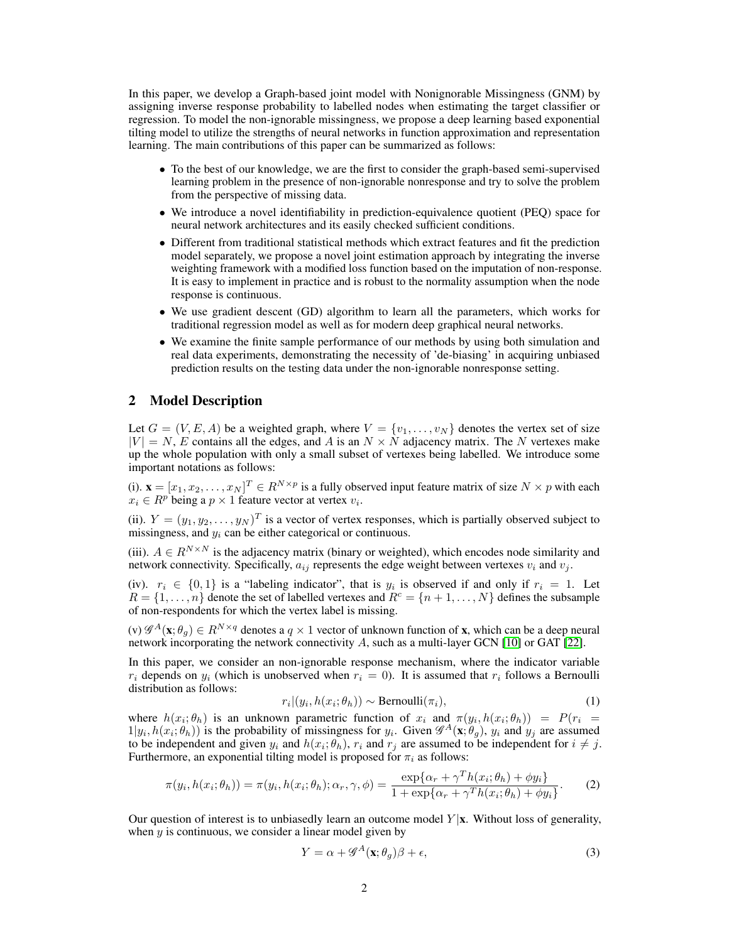In this paper, we develop a Graph-based joint model with Nonignorable Missingness (GNM) by assigning inverse response probability to labelled nodes when estimating the target classifier or regression. To model the non-ignorable missingness, we propose a deep learning based exponential tilting model to utilize the strengths of neural networks in function approximation and representation learning. The main contributions of this paper can be summarized as follows:

- To the best of our knowledge, we are the first to consider the graph-based semi-supervised learning problem in the presence of non-ignorable nonresponse and try to solve the problem from the perspective of missing data.
- We introduce a novel identifiability in prediction-equivalence quotient (PEQ) space for neural network architectures and its easily checked sufficient conditions.
- Different from traditional statistical methods which extract features and fit the prediction model separately, we propose a novel joint estimation approach by integrating the inverse weighting framework with a modified loss function based on the imputation of non-response. It is easy to implement in practice and is robust to the normality assumption when the node response is continuous.
- We use gradient descent (GD) algorithm to learn all the parameters, which works for traditional regression model as well as for modern deep graphical neural networks.
- We examine the finite sample performance of our methods by using both simulation and real data experiments, demonstrating the necessity of 'de-biasing' in acquiring unbiased prediction results on the testing data under the non-ignorable nonresponse setting.

# 2 Model Description

Let  $G = (V, E, A)$  be a weighted graph, where  $V = \{v_1, \ldots, v_N\}$  denotes the vertex set of size  $|V| = N$ , E contains all the edges, and A is an  $N \times N$  adjacency matrix. The N vertexes make up the whole population with only a small subset of vertexes being labelled. We introduce some important notations as follows:

(i).  $\mathbf{x} = [x_1, x_2, \dots, x_N]^T \in R^{N \times p}$  is a fully observed input feature matrix of size  $N \times p$  with each  $x_i \in R^p$  being a  $p \times 1$  feature vector at vertex  $v_i$ .

(ii).  $Y = (y_1, y_2, \dots, y_N)^T$  is a vector of vertex responses, which is partially observed subject to missingness, and  $y_i$  can be either categorical or continuous.

(iii).  $A \in R^{N \times N}$  is the adjacency matrix (binary or weighted), which encodes node similarity and network connectivity. Specifically,  $a_{ij}$  represents the edge weight between vertexes  $v_i$  and  $v_j$ .

(iv).  $r_i \in \{0,1\}$  is a "labeling indicator", that is  $y_i$  is observed if and only if  $r_i = 1$ . Let  $R = \{1, \ldots, n\}$  denote the set of labelled vertexes and  $R^c = \{n+1, \ldots, N\}$  defines the subsample of non-respondents for which the vertex label is missing.

(v)  $\mathscr{G}^A(\mathbf{x}; \theta_g) \in R^{N \times q}$  denotes a  $q \times 1$  vector of unknown function of **x**, which can be a deep neural network incorporating the network connectivity A, such as a multi-layer GCN  $[10]$  or GAT  $[22]$ .

In this paper, we consider an non-ignorable response mechanism, where the indicator variable  $r_i$  depends on  $y_i$  (which is unobserved when  $r_i = 0$ ). It is assumed that  $r_i$  follows a Bernoulli distribution as follows:

$$
r_i|(y_i, h(x_i; \theta_h)) \sim \text{Bernoulli}(\pi_i), \tag{1}
$$

where  $h(x_i; \theta_h)$  is an unknown parametric function of  $x_i$  and  $\pi(y_i, h(x_i; \theta_h)) = P(r_i)$  $1|y_i, h(x_i; \theta_h))$  is the probability of missingness for  $y_i$ . Given  $\mathscr{G}^A(\mathbf{x}; \theta_g)$ ,  $y_i$  and  $y_j$  are assumed to be independent and given  $y_i$  and  $h(x_i; \theta_h)$ ,  $r_i$  and  $r_j$  are assumed to be independent for  $i \neq j$ . Furthermore, an exponential tilting model is proposed for  $\pi_i$  as follows:

$$
\pi(y_i, h(x_i; \theta_h)) = \pi(y_i, h(x_i; \theta_h); \alpha_r, \gamma, \phi) = \frac{\exp\{\alpha_r + \gamma^T h(x_i; \theta_h) + \phi y_i\}}{1 + \exp\{\alpha_r + \gamma^T h(x_i; \theta_h) + \phi y_i\}}.
$$
 (2)

Our question of interest is to unbiasedly learn an outcome model  $Y|\mathbf{x}$ . Without loss of generality, when  $y$  is continuous, we consider a linear model given by

$$
Y = \alpha + \mathcal{G}^{A}(\mathbf{x}; \theta_{g})\beta + \epsilon,
$$
\n(3)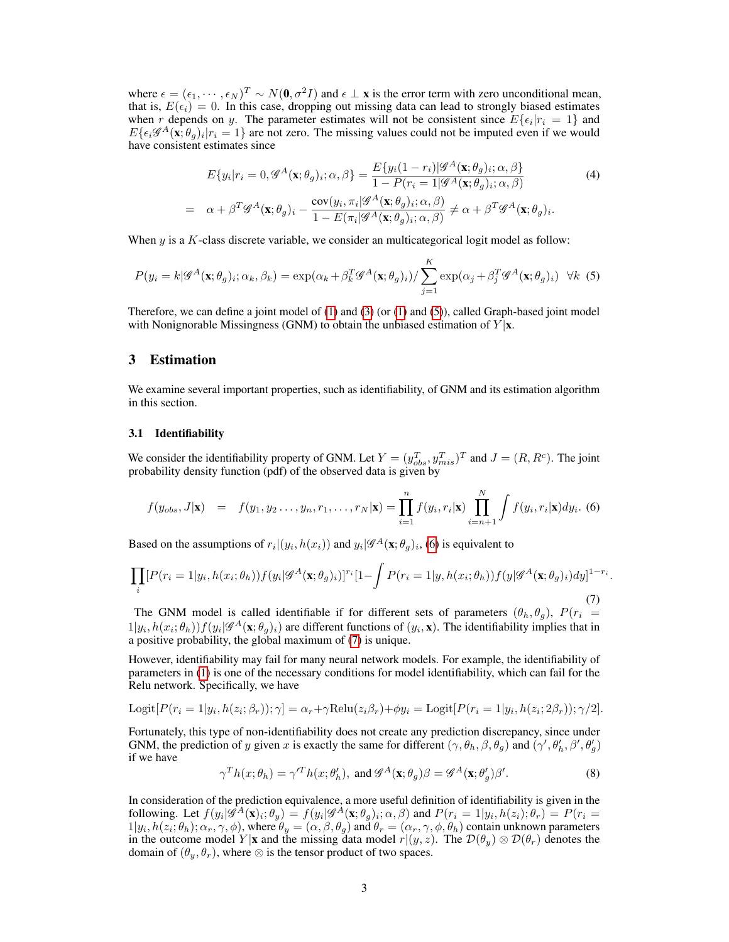where  $\epsilon = (\epsilon_1, \dots, \epsilon_N)^T \sim N(0, \sigma^2 I)$  and  $\epsilon \perp \mathbf{x}$  is the error term with zero unconditional mean, that is,  $E(\epsilon_i) = 0$ . In this case, dropping out missing data can lead to strongly biased estimates when r depends on y. The parameter estimates will not be consistent since  $E\{\epsilon_i | r_i = 1\}$  and  $E\{\epsilon_i\mathscr{G}^{A}(\mathbf{x};\theta_g)_i | r_i = 1\}$  are not zero. The missing values could not be imputed even if we would have consistent estimates since

$$
E\{y_i|r_i = 0, \mathcal{G}^A(\mathbf{x}; \theta_g)_i; \alpha, \beta\} = \frac{E\{y_i(1-r_i)|\mathcal{G}^A(\mathbf{x}; \theta_g)_i; \alpha, \beta\}}{1 - P(r_i = 1|\mathcal{G}^A(\mathbf{x}; \theta_g)_i; \alpha, \beta)}
$$
(4)  

$$
= \alpha + \beta^T \mathcal{G}^A(\mathbf{x}; \theta_g)_i - \frac{\text{cov}(y_i, \pi_i|\mathcal{G}^A(\mathbf{x}; \theta_g)_i; \alpha, \beta)}{1 - E(\pi_i|\mathcal{G}^A(\mathbf{x}; \theta_g)_i; \alpha, \beta)} \neq \alpha + \beta^T \mathcal{G}^A(\mathbf{x}; \theta_g)_i.
$$

When  $y$  is a  $K$ -class discrete variable, we consider an multicategorical logit model as follow:

$$
P(y_i = k | \mathcal{G}^A(\mathbf{x}; \theta_g)_i; \alpha_k, \beta_k) = \exp(\alpha_k + \beta_k^T \mathcal{G}^A(\mathbf{x}; \theta_g)_i) / \sum_{j=1}^K \exp(\alpha_j + \beta_j^T \mathcal{G}^A(\mathbf{x}; \theta_g)_i) \quad \forall k \tag{5}
$$

Therefore, we can define a joint model of  $(1)$  and  $(3)$  (or  $(1)$  and  $(5)$ ), called Graph-based joint model with Nonignorable Missingness (GNM) to obtain the unbiased estimation of  $Y|\mathbf{x}$ .

## 3 Estimation

We examine several important properties, such as identifiability, of GNM and its estimation algorithm in this section.

#### 3.1 Identifiability

We consider the identifiability property of GNM. Let  $Y = (y_{obs}^T, y_{mis}^T)^T$  and  $J = (R, R^c)$ . The joint probability density function (pdf) of the observed data is given by

$$
f(y_{obs}, J|\mathbf{x}) = f(y_1, y_2 \dots, y_n, r_1, \dots, r_N|\mathbf{x}) = \prod_{i=1}^n f(y_i, r_i|\mathbf{x}) \prod_{i=n+1}^N \int f(y_i, r_i|\mathbf{x}) dy_i.
$$
 (6)

Based on the assumptions of  $r_i|(y_i, h(x_i))$  and  $y_i|\mathscr{G}^A(\mathbf{x}; \theta_g)_i$ , (6) is equivalent to

$$
\prod_{i} [P(r_i=1|y_i, h(x_i; \theta_h)) f(y_i | \mathcal{G}^A(\mathbf{x}; \theta_g)_i)]^{r_i} [1 - \int P(r_i=1|y, h(x_i; \theta_h)) f(y | \mathcal{G}^A(\mathbf{x}; \theta_g)_i) dy]^{1-r_i}.
$$
\n(7)

The GNM model is called identifiable if for different sets of parameters  $(\theta_h, \theta_g)$ ,  $P(r_i =$  $1|y_i, h(x_i; \theta_h))f(y_i|\mathscr{G}^{A}(\mathbf{x}; \theta_g)_i)$  are different functions of  $(y_i, \mathbf{x})$ . The identifiability implies that in a positive probability, the global maximum of (7) is unique.

However, identifiability may fail for many neural network models. For example, the identifiability of parameters in (1) is one of the necessary conditions for model identifiability, which can fail for the Relu network. Specifically, we have

Logit
$$
[P(r_i = 1|y_i, h(z_i; \beta_r)); \gamma] = \alpha_r + \gamma \text{Relu}(z_i \beta_r) + \phi y_i = \text{Logit}[P(r_i = 1|y_i, h(z_i; 2\beta_r)); \gamma/2].
$$

Fortunately, this type of non-identifiability does not create any prediction discrepancy, since under GNM, the prediction of y given x is exactly the same for different  $(\gamma, \theta_h, \beta, \theta_g)$  and  $(\gamma', \theta'_h, \beta', \theta'_g)$ if we have

$$
\gamma^T h(x; \theta_h) = \gamma^T h(x; \theta'_h), \text{ and } \mathcal{G}^A(\mathbf{x}; \theta_g) \beta = \mathcal{G}^A(\mathbf{x}; \theta'_g) \beta'.
$$
 (8)

In consideration of the prediction equivalence, a more useful definition of identifiability is given in the following. Let  $f(y_i|\hat{\mathscr{G}}_i^A(\mathbf{x})_i;\theta_y) = f(y_i|\hat{\mathscr{G}}_i^A(\mathbf{x};\theta_g)_i;\alpha,\beta)$  and  $P(r_i = 1|y_i, h(z_i);\theta_r) = P(r_i = 1|y_i, h(z_i); \theta_r)$  $1|y_i, h(z_i; \theta_h); \alpha_r, \gamma, \phi)$ , where  $\theta_y = (\alpha, \beta, \theta_g)$  and  $\theta_r = (\alpha_r, \gamma, \phi, \theta_h)$  contain unknown parameters in the outcome model Y |x and the missing data model  $r|(y, z)$ . The  $\mathcal{D}(\theta_u) \otimes \mathcal{D}(\theta_r)$  denotes the domain of  $(\theta_u, \theta_r)$ , where ⊗ is the tensor product of two spaces.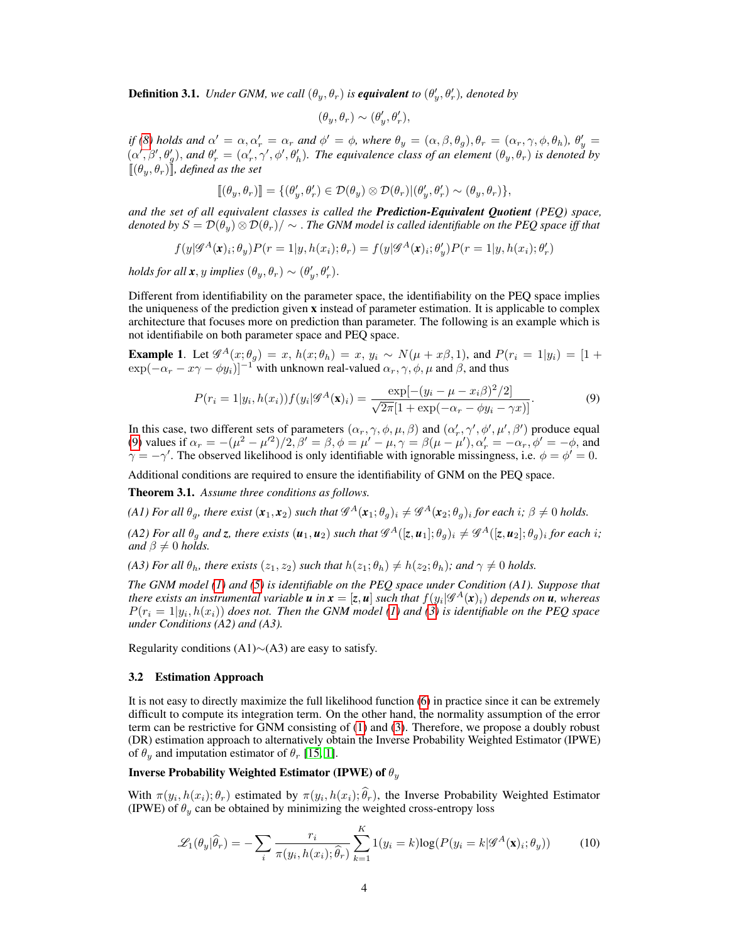**Definition 3.1.** *Under GNM, we call*  $(\theta_y, \theta_r)$  *is equivalent to*  $(\theta'_y, \theta'_r)$ *, denoted by* 

$$
(\theta_y,\theta_r)\sim (\theta_y',\theta_r'),
$$

*if* (8) holds and  $\alpha' = \alpha, \alpha'_r = \alpha_r$  and  $\phi' = \phi$ , where  $\theta_y = (\alpha, \beta, \theta_g), \theta_r = (\alpha_r, \gamma, \phi, \theta_h), \theta'_y =$  $(\alpha', \beta', \theta'_{g}),$  and  $\theta'_{r} = (\alpha'_{r}, \gamma', \phi', \theta'_{h}).$  The equivalence class of an element  $(\theta_{y}, \theta_{r})$  is denoted by  $[(\theta_u, \theta_r)]$ *, defined as the set* 

$$
[\![ (\theta_y, \theta_r)]\!] = \{(\theta'_y, \theta'_r) \in \mathcal{D}(\theta_y) \otimes \mathcal{D}(\theta_r) | (\theta'_y, \theta'_r) \sim (\theta_y, \theta_r) \},
$$

*and the set of all equivalent classes is called the Prediction-Equivalent Quotient (PEQ) space, denoted by*  $S = D(\theta_u) \otimes D(\theta_r) / \sim$  *. The GNM model is called identifiable on the PEQ space iff that* 

$$
f(y|\mathscr{G}^A(\mathbf{x})_i; \theta_y)P(r=1|y, h(x_i); \theta_r) = f(y|\mathscr{G}^A(\mathbf{x})_i; \theta_y')P(r=1|y, h(x_i); \theta_r')
$$

*holds for all*  $\mathbf{x}, y$  *implies*  $(\theta_y, \theta_r) \sim (\theta'_y, \theta'_r)$ .

Different from identifiability on the parameter space, the identifiability on the PEQ space implies the uniqueness of the prediction given  $x$  instead of parameter estimation. It is applicable to complex architecture that focuses more on prediction than parameter. The following is an example which is not identifiabile on both parameter space and PEQ space.

**Example 1.** Let  $\mathscr{G}^{A}(x;\theta_{g}) = x$ ,  $h(x;\theta_{h}) = x$ ,  $y_{i} \sim N(\mu + x\beta, 1)$ , and  $P(r_{i} = 1|y_{i}) = [1 +$  $\exp(-\alpha_r - x\gamma - \phi y_i)]^{-1}$  with unknown real-valued  $\alpha_r, \gamma, \phi, \mu$  and  $\beta$ , and thus

$$
P(r_i = 1|y_i, h(x_i))f(y_i|\mathscr{G}^A(\mathbf{x})_i) = \frac{\exp[-(y_i - \mu - x_i\beta)^2/2]}{\sqrt{2\pi}[1 + \exp(-\alpha_r - \phi y_i - \gamma x)]}.
$$
(9)

In this case, two different sets of parameters  $(\alpha_r, \gamma, \phi, \mu, \beta)$  and  $(\alpha'_r, \gamma', \phi', \mu', \beta')$  produce equal (9) values if  $\alpha_r = -(\mu^2 - \mu'^2)/2$ ,  $\beta' = \beta$ ,  $\phi = \mu' - \mu$ ,  $\gamma = \beta(\mu - \mu')$ ,  $\alpha'_r = -\alpha_r$ ,  $\phi' = -\phi$ , and  $\gamma = -\gamma'$ . The observed likelihood is only identifiable with ignorable missingness, i.e.  $\phi = \phi' = 0$ .

Additional conditions are required to ensure the identifiability of GNM on the PEQ space.

Theorem 3.1. *Assume three conditions as follows.*

*(A1) For all*  $\theta_g$ , there exist  $(x_1, x_2)$  such that  $\mathscr{G}^A(x_1; \theta_g)_i \neq \mathscr{G}^A(x_2; \theta_g)_i$  for each  $i; \beta \neq 0$  holds.

*(A2) For all*  $\theta_g$  *and*  $z$ *, there exists*  $(u_1, u_2)$  such that  $\mathscr{G}^A([z, u_1]; \theta_g)_i \neq \mathscr{G}^A([z, u_2]; \theta_g)_i$  for each  $i$ ; *and*  $\beta \neq 0$  *holds.* 

*(A3) For all*  $\theta_h$ *, there exists*  $(z_1, z_2)$  *such that*  $h(z_1; \theta_h) \neq h(z_2; \theta_h)$ *; and*  $\gamma \neq 0$  *holds.* 

*The GNM model (1) and (5) is identifiable on the PEQ space under Condition (A1). Suppose that there exists an instrumental variable u in*  $x = [z, u]$  *such that*  $f(y_i | \mathscr{G}^A(x)_i)$  *depends on*  $\overline{u}$ *, whereas*  $P(r_i = 1|y_i, h(x_i))$  does not. Then the GNM model (1) and (3) is identifiable on the PEQ space *under Conditions (A2) and (A3).*

Regularity conditions (A1)∼(A3) are easy to satisfy.

#### 3.2 Estimation Approach

It is not easy to directly maximize the full likelihood function (6) in practice since it can be extremely difficult to compute its integration term. On the other hand, the normality assumption of the error term can be restrictive for GNM consisting of (1) and (3). Therefore, we propose a doubly robust (DR) estimation approach to alternatively obtain the Inverse Probability Weighted Estimator (IPWE) of  $\theta_y$  and imputation estimator of  $\theta_r$  [15, 1].

## Inverse Probability Weighted Estimator (IPWE) of  $\theta_u$

With  $\pi(y_i, h(x_i); \theta_r)$  estimated by  $\pi(y_i, h(x_i); \theta_r)$ , the Inverse Probability Weighted Estimator (IPWE) of  $\theta_y$  can be obtained by minimizing the weighted cross-entropy loss

$$
\mathcal{L}_1(\theta_y|\widehat{\theta}_r) = -\sum_i \frac{r_i}{\pi(y_i, h(x_i); \widehat{\theta}_r)} \sum_{k=1}^K 1(y_i = k) \log(P(y_i = k | \mathcal{G}^A(\mathbf{x})_i; \theta_y)) \tag{10}
$$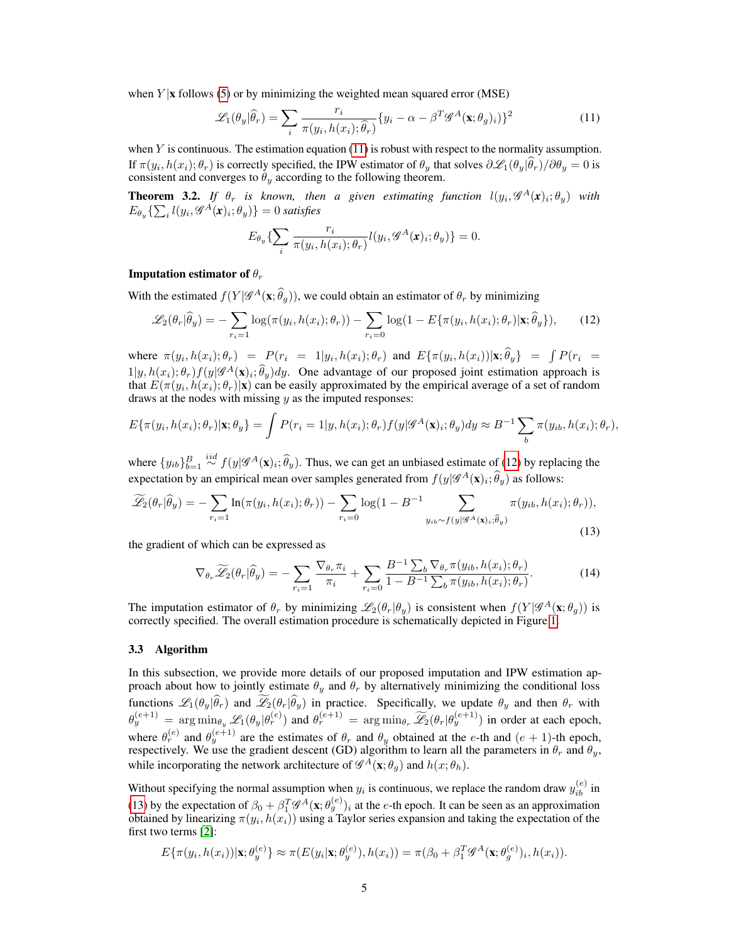when  $Y | x$  follows (5) or by minimizing the weighted mean squared error (MSE)

$$
\mathcal{L}_1(\theta_y|\widehat{\theta}_r) = \sum_i \frac{r_i}{\pi(y_i, h(x_i); \widehat{\theta}_r)} \{y_i - \alpha - \beta^T \mathcal{G}^A(\mathbf{x}; \theta_g)_i)\}^2
$$
(11)

when  $Y$  is continuous. The estimation equation (11) is robust with respect to the normality assumption. If  $\pi(y_i, h(x_i); \theta_r)$  is correctly specified, the IPW estimator of  $\theta_y$  that solves  $\partial \mathcal{L}_1(\theta_y|\theta_r)/\partial \theta_y = 0$  is consistent and converges to  $\hat{\theta}_y$  according to the following theorem.

**Theorem 3.2.** If  $\theta_r$  is known, then a given estimating function  $l(y_i, \mathscr{G}^A(\mathbf{x})_i; \theta_y)$  with  $E_{\theta_y} \{\sum_i l(y_i, \mathscr{G}^{A}(\boldsymbol{x})_i; \theta_y)\} = 0$  satisfies

$$
E_{\theta_y}\left\{\sum_i \frac{r_i}{\pi(y_i, h(x_i); \theta_r)} l(y_i, \mathcal{G}^A(\mathbf{x})_i; \theta_y)\right\} = 0.
$$

## **Imputation estimator of**  $\theta_r$

With the estimated  $f(Y|\mathcal{G}^{A}(\mathbf{x}; \hat{\theta}_{g}))$ , we could obtain an estimator of  $\theta_{r}$  by minimizing

$$
\mathcal{L}_2(\theta_r|\widehat{\theta}_y) = -\sum_{r_i=1} \log(\pi(y_i, h(x_i); \theta_r)) - \sum_{r_i=0} \log(1 - E\{\pi(y_i, h(x_i); \theta_r) | \mathbf{x}; \widehat{\theta}_y\}),\tag{12}
$$

where  $\pi(y_i, h(x_i); \theta_r) = P(r_i = 1 | y_i, h(x_i); \theta_r)$  and  $E{\pi(y_i, h(x_i)) | \mathbf{x}; \theta_y} = \int P(r_i = 1 | y_i, h(x_i); \theta_r)$  $1|y, h(x_i); \theta_r$   $f(y|\mathcal{G}^A(\mathbf{x})_i; \hat{\theta}_y)dy$ . One advantage of our proposed joint estimation approach is that  $E(\pi(y_i, h(x_i); \theta_r)|\mathbf{x})$  can be easily approximated by the empirical average of a set of random draws at the nodes with missing  $y$  as the imputed responses:

$$
E\{\pi(y_i, h(x_i); \theta_r)|\mathbf{x}; \theta_y\} = \int P(r_i = 1|y, h(x_i); \theta_r) f(y | \mathscr{G}^A(\mathbf{x})_i; \theta_y) dy \approx B^{-1} \sum_b \pi(y_{ib}, h(x_i); \theta_r),
$$

where  $\{y_{ib}\}_{b=1}^B \stackrel{iid}{\sim} f(y|\mathscr{G}^A(\mathbf{x})_i; \widehat{\theta}_y)$ . Thus, we can get an unbiased estimate of (12) by replacing the expectation by an empirical mean over samples generated from  $f(y|\mathscr{G}^{A}(\mathbf{x})_{i};\hat{\theta}_{y})$  as follows:

$$
\widetilde{\mathscr{L}}_2(\theta_r|\widehat{\theta}_y) = -\sum_{r_i=1} \ln(\pi(y_i, h(x_i); \theta_r)) - \sum_{r_i=0} \log(1 - B^{-1} \sum_{y_{ib} \sim f(y|\mathscr{G}^A(\mathbf{x})_i; \widehat{\theta}_y)} \pi(y_{ib}, h(x_i); \theta_r)),\tag{13}
$$

the gradient of which can be expressed as

$$
\nabla_{\theta_r} \widetilde{\mathscr{L}}_2(\theta_r | \widehat{\theta}_y) = -\sum_{r_i=1} \frac{\nabla_{\theta_r} \pi_i}{\pi_i} + \sum_{r_i=0} \frac{B^{-1} \sum_b \nabla_{\theta_r} \pi(y_{ib}, h(x_i); \theta_r)}{1 - B^{-1} \sum_b \pi(y_{ib}, h(x_i); \theta_r)}.
$$
(14)

The imputation estimator of  $\theta_r$  by minimizing  $\mathscr{L}_2(\theta_r | \theta_y)$  is consistent when  $f(Y | \mathscr{G}^A(\mathbf{x}; \theta_g))$  is correctly specified. The overall estimation procedure is schematically depicted in Figure 1.

### 3.3 Algorithm

In this subsection, we provide more details of our proposed imputation and IPW estimation approach about how to jointly estimate  $\theta_y$  and  $\theta_r$  by alternatively minimizing the conditional loss functions  $\mathcal{L}_1(\theta_y|\theta_r)$  and  $\mathcal{L}_2(\theta_r|\theta_y)$  in practice. Specifically, we update  $\theta_y$  and then  $\theta_r$  with  $\theta_y^{(e+1)} = \arg \min_{\theta_y} \mathscr{L}_1(\theta_y | \theta_r^{(e)})$  and  $\theta_r^{(e+1)} = \arg \min_{\theta_r} \widetilde{\mathscr{L}}_2(\theta_r | \theta_y^{(e+1)})$  in order at each epoch, where  $\theta_r^{(e)}$  and  $\theta_y^{(e+1)}$  are the estimates of  $\theta_r$  and  $\theta_y$  obtained at the e-th and  $(e+1)$ -th epoch, respectively. We use the gradient descent (GD) algorithm to learn all the parameters in  $\theta_r$  and  $\theta_y$ , while incorporating the network architecture of  $\mathscr{G}^A(\mathbf{x}; \theta_g)$  and  $h(x; \theta_h)$ .

Without specifying the normal assumption when  $y_i$  is continuous, we replace the random draw  $y_{ib}^{(e)}$  in (13) by the expectation of  $\beta_0 + \beta_1^T \mathcal{G}^A(\mathbf{x}; \theta_g^{(e)})_i$  at the *e*-th epoch. It can be seen as an approximation obtained by linearizing  $\pi(y_i, h(x_i))$  using a Taylor series expansion and taking the expectation of the first two terms [2]:

$$
E\{\pi(y_i, h(x_i)) | \mathbf{x}; \theta_y^{(e)}\} \approx \pi(E(y_i | \mathbf{x}; \theta_y^{(e)}), h(x_i)) = \pi(\beta_0 + \beta_1^T \mathcal{G}^A(\mathbf{x}; \theta_g^{(e)})_i, h(x_i)).
$$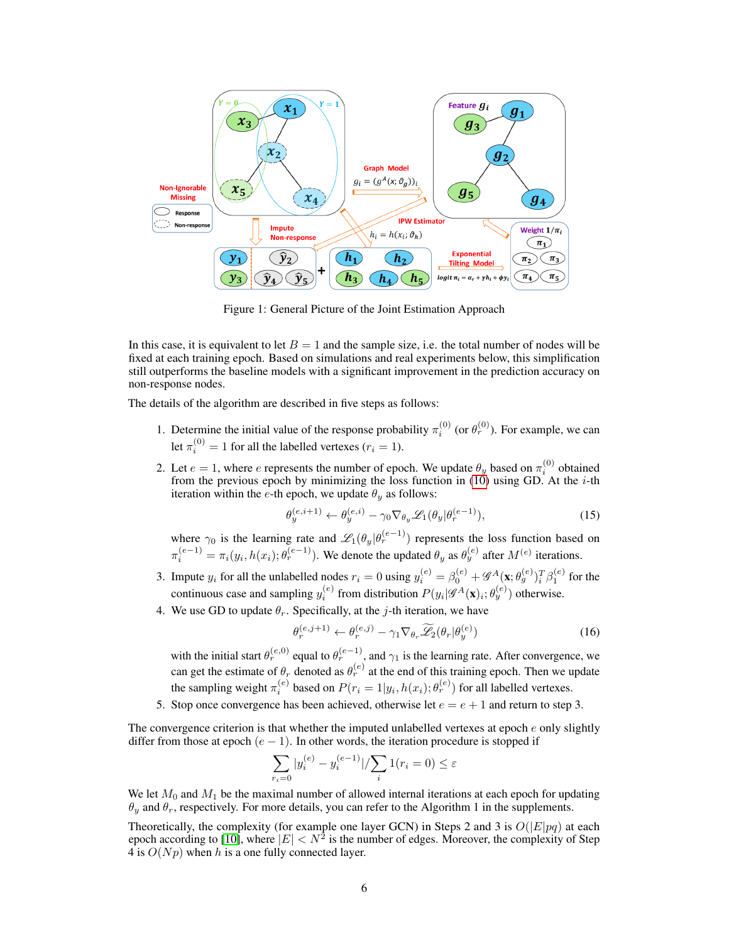

Figure 1: General Picture of the Joint Estimation Approach

In this case, it is equivalent to let  $B = 1$  and the sample size, i.e. the total number of nodes will be fixed at each training epoch. Based on simulations and real experiments below, this simplification still outperforms the baseline models with a significant improvement in the prediction accuracy on non-response nodes.

The details of the algorithm are described in five steps as follows:

- 1. Determine the initial value of the response probability  $\pi_i^{(0)}$  (or  $\theta_r^{(0)}$ ). For example, we can let  $\pi_i^{(0)} = 1$  for all the labelled vertexes ( $r_i = 1$ ).
- 2. Let  $e = 1$ , where  $e$  represents the number of epoch. We update  $\theta_y$  based on  $\pi_i^{(0)}$  obtained from the previous epoch by minimizing the loss function in  $(10)$  using GD. At the *i*-th iteration within the e-th epoch, we update  $\theta_y$  as follows:

$$
\theta_y^{(e,i+1)} \leftarrow \theta_y^{(e,i)} - \gamma_0 \nabla_{\theta_y} \mathcal{L}_1(\theta_y | \theta_r^{(e-1)}), \tag{15}
$$

where  $\gamma_0$  is the learning rate and  $\mathscr{L}_1(\theta_y|\theta_r^{(e-1)})$  represents the loss function based on  $\pi_i^{(e-1)} = \pi_i(y_i, h(x_i); \theta_r^{(e-1)})$ . We denote the updated  $\theta_y$  as  $\theta_y^{(e)}$  after  $M^{(e)}$  iterations.

- 3. Impute  $y_i$  for all the unlabelled nodes  $r_i = 0$  using  $y_i^{(e)} = \beta_0^{(e)} + \mathcal{G}^A(\mathbf{x}; \theta_g^{(e)})_i^T \beta_1^{(e)}$  for the continuous case and sampling  $y_i^{(e)}$  from distribution  $P(y_i|\mathscr{G}^A(\mathbf{x})_i; \theta_y^{(e)})$  otherwise.
- 4. We use GD to update  $\theta_r$ . Specifically, at the *j*-th iteration, we have

$$
\theta_r^{(e,j+1)} \leftarrow \theta_r^{(e,j)} - \gamma_1 \nabla_{\theta_r} \widetilde{\mathscr{L}}_2(\theta_r | \theta_y^{(e)}) \tag{16}
$$

with the initial start  $\theta_r^{(e,0)}$  equal to  $\theta_r^{(e-1)}$ , and  $\gamma_1$  is the learning rate. After convergence, we can get the estimate of  $\theta_r$  denoted as  $\theta_r^{(e)}$  at the end of this training epoch. Then we update the sampling weight  $\pi_i^{(e)}$  based on  $P(r_i = 1 | y_i, h(x_i); \theta_r^{(e)})$  for all labelled vertexes.

5. Stop once convergence has been achieved, otherwise let  $e = e + 1$  and return to step 3.

The convergence criterion is that whether the imputed unlabelled vertexes at epoch  $e$  only slightly differ from those at epoch  $(e - 1)$ . In other words, the iteration procedure is stopped if

$$
\sum_{r_i=0} |y_i^{(e)} - y_i^{(e-1)}| / \sum_i 1(r_i = 0) \le \varepsilon
$$

We let  $M_0$  and  $M_1$  be the maximal number of allowed internal iterations at each epoch for updating  $\theta_y$  and  $\theta_r$ , respectively. For more details, you can refer to the Algorithm 1 in the supplements.

Theoretically, the complexity (for example one layer GCN) in Steps 2 and 3 is  $O(|E|pq)$  at each epoch according to [10], where  $|E| < N^2$  is the number of edges. Moreover, the complexity of Step 4 is  $O(Np)$  when h is a one fully connected layer.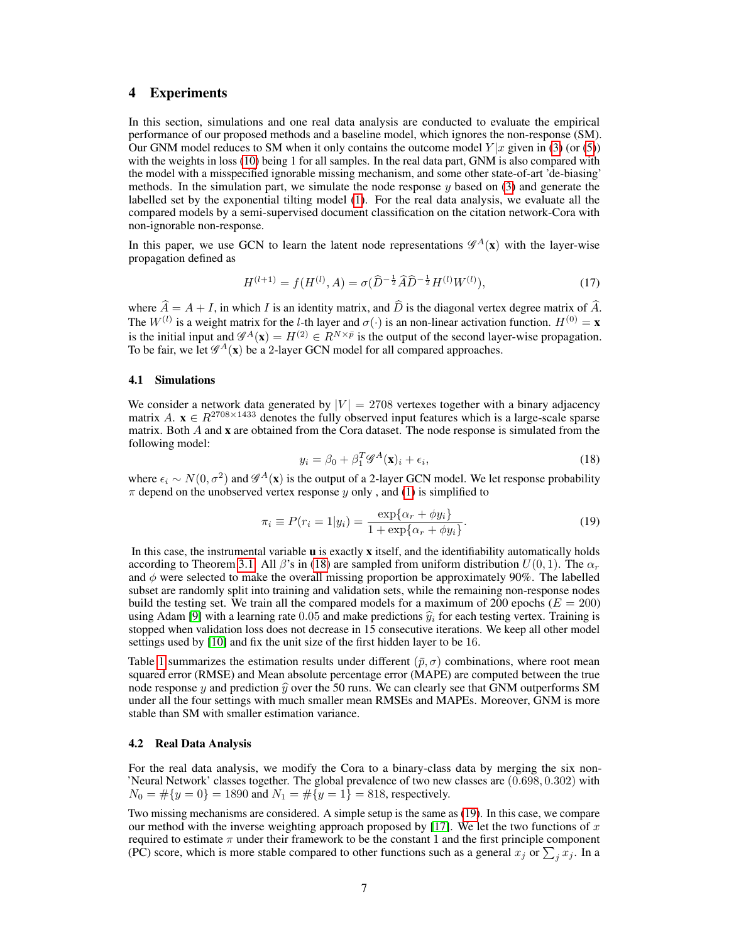# 4 Experiments

In this section, simulations and one real data analysis are conducted to evaluate the empirical performance of our proposed methods and a baseline model, which ignores the non-response (SM). Our GNM model reduces to SM when it only contains the outcome model  $Y|x$  given in (3) (or (5)) with the weights in loss (10) being 1 for all samples. In the real data part, GNM is also compared with the model with a misspecified ignorable missing mechanism, and some other state-of-art 'de-biasing' methods. In the simulation part, we simulate the node response  $y$  based on (3) and generate the labelled set by the exponential tilting model (1). For the real data analysis, we evaluate all the compared models by a semi-supervised document classification on the citation network-Cora with non-ignorable non-response.

In this paper, we use GCN to learn the latent node representations  $\mathscr{G}^{A}(x)$  with the layer-wise propagation defined as

$$
H^{(l+1)} = f(H^{(l)}, A) = \sigma(\widehat{D}^{-\frac{1}{2}}\widehat{A}\widehat{D}^{-\frac{1}{2}}H^{(l)}W^{(l)}),\tag{17}
$$

where  $\hat{A} = A + I$ , in which I is an identity matrix, and  $\hat{D}$  is the diagonal vertex degree matrix of  $\hat{A}$ . The  $W^{(l)}$  is a weight matrix for the *l*-th layer and  $\sigma(\cdot)$  is an non-linear activation function.  $H^{(0)} = \mathbf{x}$ is the initial input and  $\mathscr{G}^A(\mathbf{x}) = H^{(2)} \in R^{N \times \bar{p}}$  is the output of the second layer-wise propagation. To be fair, we let  $\mathscr{G}^A(\mathbf{x})$  be a 2-layer GCN model for all compared approaches.

### 4.1 Simulations

We consider a network data generated by  $|V| = 2708$  vertexes together with a binary adjacency matrix  $A$ .  $\mathbf{x} \in R^{2708 \times 1433}$  denotes the fully observed input features which is a large-scale sparse matrix. Both A and x are obtained from the Cora dataset. The node response is simulated from the following model:

$$
y_i = \beta_0 + \beta_1^T \mathcal{G}^A(\mathbf{x})_i + \epsilon_i,\tag{18}
$$

where  $\epsilon_i \sim N(0, \sigma^2)$  and  $\mathscr{G}^A(\mathbf{x})$  is the output of a 2-layer GCN model. We let response probability  $\pi$  depend on the unobserved vertex response y only, and (1) is simplified to

$$
\pi_i \equiv P(r_i = 1|y_i) = \frac{\exp{\{\alpha_r + \phi y_i\}}}{1 + \exp{\{\alpha_r + \phi y_i\}}}.
$$
\n(19)

In this case, the instrumental variable  $\bf{u}$  is exactly  $\bf{x}$  itself, and the identifiability automatically holds according to Theorem 3.1. All  $\beta$ 's in (18) are sampled from uniform distribution  $U(0, 1)$ . The  $\alpha_r$ and  $\phi$  were selected to make the overall missing proportion be approximately 90%. The labelled subset are randomly split into training and validation sets, while the remaining non-response nodes build the testing set. We train all the compared models for a maximum of 200 epochs ( $E = 200$ ) using Adam [9] with a learning rate 0.05 and make predictions  $\hat{y}_i$  for each testing vertex. Training is stopped when validation loss does not decrease in 15 consecutive iterations. We keep all other model settings used by [10] and fix the unit size of the first hidden layer to be 16.

Table 1 summarizes the estimation results under different ( $\bar{p}, \sigma$ ) combinations, where root mean squared error (RMSE) and Mean absolute percentage error (MAPE) are computed between the true node response y and prediction  $\hat{y}$  over the 50 runs. We can clearly see that GNM outperforms SM under all the four settings with much smaller mean RMSEs and MAPEs. Moreover, GNM is more stable than SM with smaller estimation variance.

## 4.2 Real Data Analysis

For the real data analysis, we modify the Cora to a binary-class data by merging the six non- 'Neural Network' classes together. The global prevalence of two new classes are (0.698, 0.302) with  $N_0 = \#\{y = 0\} = 1890$  and  $N_1 = \#\{y = 1\} = 818$ , respectively.

Two missing mechanisms are considered. A simple setup is the same as (19). In this case, we compare our method with the inverse weighting approach proposed by [17]. We let the two functions of x required to estimate  $\pi$  under their framework to be the constant 1 and the first principle component (PC) score, which is more stable compared to other functions such as a general  $x_j$  or  $\sum_j x_j$ . In a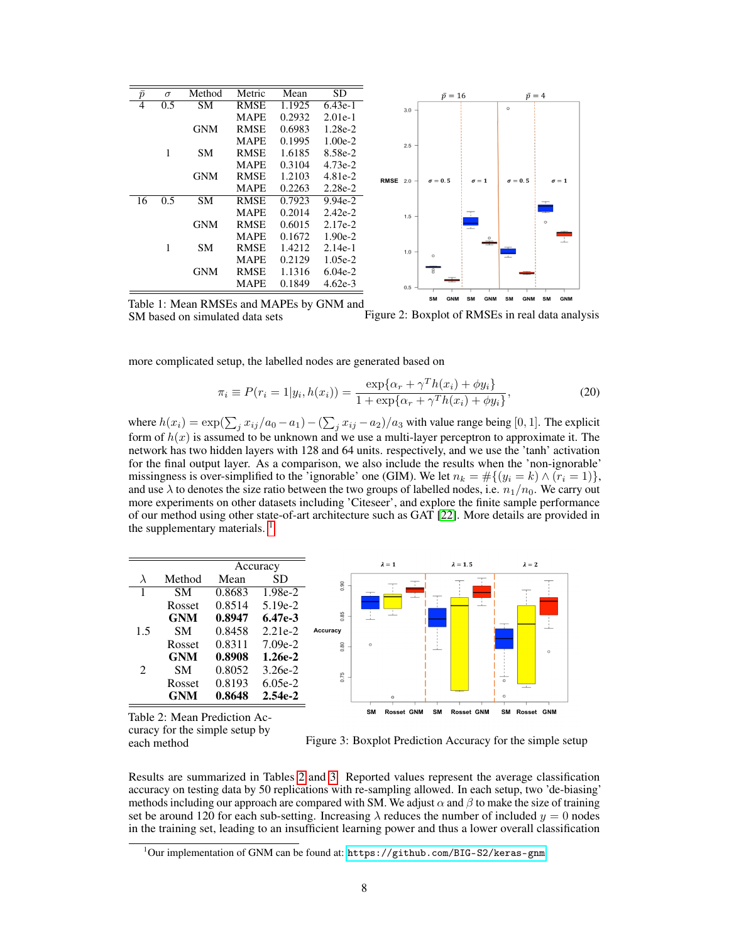| $\bar{p}$      | $\sigma$ | Method                 | Metric      | Mean   | SD        | $\bar{p} = 16$<br>$\bar{p}=4$                                                                            |
|----------------|----------|------------------------|-------------|--------|-----------|----------------------------------------------------------------------------------------------------------|
| $\overline{4}$ | 0.5      | <b>SM</b>              | <b>RMSE</b> | 1.1925 | $6.43e-1$ | $\circ$<br>3.0                                                                                           |
|                |          |                        | <b>MAPE</b> | 0.2932 | $2.01e-1$ |                                                                                                          |
|                |          | <b>GNM</b>             | <b>RMSE</b> | 0.6983 | 1.28e-2   |                                                                                                          |
|                |          |                        | <b>MAPE</b> | 0.1995 | $1.00e-2$ | $2.5 -$                                                                                                  |
|                | 1        | <b>SM</b>              | <b>RMSE</b> | 1.6185 | 8.58e-2   |                                                                                                          |
|                |          |                        | <b>MAPE</b> | 0.3104 | $4.73e-2$ |                                                                                                          |
|                |          | <b>GNM</b>             | <b>RMSE</b> | 1.2103 | $4.81e-2$ | <b>RMSE</b> 2.0 -<br>$\sigma = 0.5$<br>$\sigma = 0.5$<br>$\sigma = 1$<br>$\sigma = 1$                    |
|                |          |                        | <b>MAPE</b> | 0.2263 | $2.28e-2$ |                                                                                                          |
| 16             | 0.5      | $\overline{\text{SM}}$ | <b>RMSE</b> | 0.7923 | $9.94e-2$ | $\overline{\phantom{a}}$                                                                                 |
|                |          |                        | <b>MAPE</b> | 0.2014 | $2.42e-2$ | ÷<br>고<br>$1.5 -$                                                                                        |
|                |          | <b>GNM</b>             | <b>RMSE</b> | 0.6015 | $2.17e-2$ | ÷<br>$\circ$                                                                                             |
|                |          |                        | <b>MAPE</b> | 0.1672 | $1.90e-2$ | 고<br>$\circ$                                                                                             |
|                | 1        | <b>SM</b>              | <b>RMSE</b> | 1.4212 | $2.14e-1$ | $1.0 -$                                                                                                  |
|                |          |                        | <b>MAPE</b> | 0.2129 | $1.05e-2$ | $\circ$<br>$\frac{1}{1}$                                                                                 |
|                |          | <b>GNM</b>             | <b>RMSE</b> | 1.1316 | $6.04e-2$ |                                                                                                          |
|                |          |                        | <b>MAPE</b> | 0.1849 | $4.62e-3$ | 0.5                                                                                                      |
|                |          |                        |             |        |           | <b>GNM</b><br><b>GNM</b><br><b>GNM</b><br><b>SM</b><br><b>SM</b><br><b>GNM</b><br><b>SM</b><br><b>SM</b> |

Table 1: Mean RMSEs and MAPEs by GNM and SM based on simulated data sets Figure 2: Boxplot of RMSEs in real data analysis

more complicated setup, the labelled nodes are generated based on

$$
\pi_i \equiv P(r_i = 1 | y_i, h(x_i)) = \frac{\exp\{\alpha_r + \gamma^T h(x_i) + \phi y_i\}}{1 + \exp\{\alpha_r + \gamma^T h(x_i) + \phi y_i\}},
$$
\n(20)

where  $h(x_i) = \exp(\sum_j x_{ij}/a_0 - a_1) - (\sum_j x_{ij} - a_2)/a_3$  with value range being [0, 1]. The explicit form of  $h(x)$  is assumed to be unknown and we use a multi-layer perceptron to approximate it. The network has two hidden layers with 128 and 64 units. respectively, and we use the 'tanh' activation for the final output layer. As a comparison, we also include the results when the 'non-ignorable' missingness is over-simplified to the 'ignorable' one (GIM). We let  $n_k = #\{(y_i = k) \wedge (r_i = 1)\}\,$ and use  $\lambda$  to denotes the size ratio between the two groups of labelled nodes, i.e.  $n_1/n_0$ . We carry out more experiments on other datasets including 'Citeseer', and explore the finite sample performance of our method using other state-of-art architecture such as GAT [22]. More details are provided in the supplementary materials.<sup>1</sup>

| λ                           | Method        | Mean   | SD        | 0.90     |
|-----------------------------|---------------|--------|-----------|----------|
|                             | <b>SM</b>     | 0.8683 | 1.98e-2   |          |
|                             | Rosset        | 0.8514 | $5.19e-2$ |          |
|                             | GNM           | 0.8947 | $6.47e-3$ | 0.85     |
| 1.5                         | <b>SM</b>     | 0.8458 | $2.21e-2$ | Accuracy |
|                             | Rosset        | 0.8311 | $7.09e-2$ | 0.80     |
|                             | <b>GNM</b>    | 0.8908 | $1.26e-2$ |          |
| $\mathcal{D}_{\mathcal{L}}$ | <b>SM</b>     | 0.8052 | $3.26e-2$ |          |
|                             | <b>Rosset</b> | 0.8193 | $6.05e-2$ | 0.75     |
|                             | <b>GNM</b>    | 0.8648 | $2.54e-2$ |          |
|                             |               |        |           |          |



Table 2: Mean Prediction Accuracy for the simple setup by

each method Figure 3: Boxplot Prediction Accuracy for the simple setup

Results are summarized in Tables 2 and 3. Reported values represent the average classification accuracy on testing data by 50 replications with re-sampling allowed. In each setup, two 'de-biasing' methods including our approach are compared with SM. We adjust  $\alpha$  and  $\beta$  to make the size of training set be around 120 for each sub-setting. Increasing  $\lambda$  reduces the number of included  $y = 0$  nodes in the training set, leading to an insufficient learning power and thus a lower overall classification

 $1$ Our implementation of GNM can be found at: <https://github.com/BIG-S2/keras-gnm>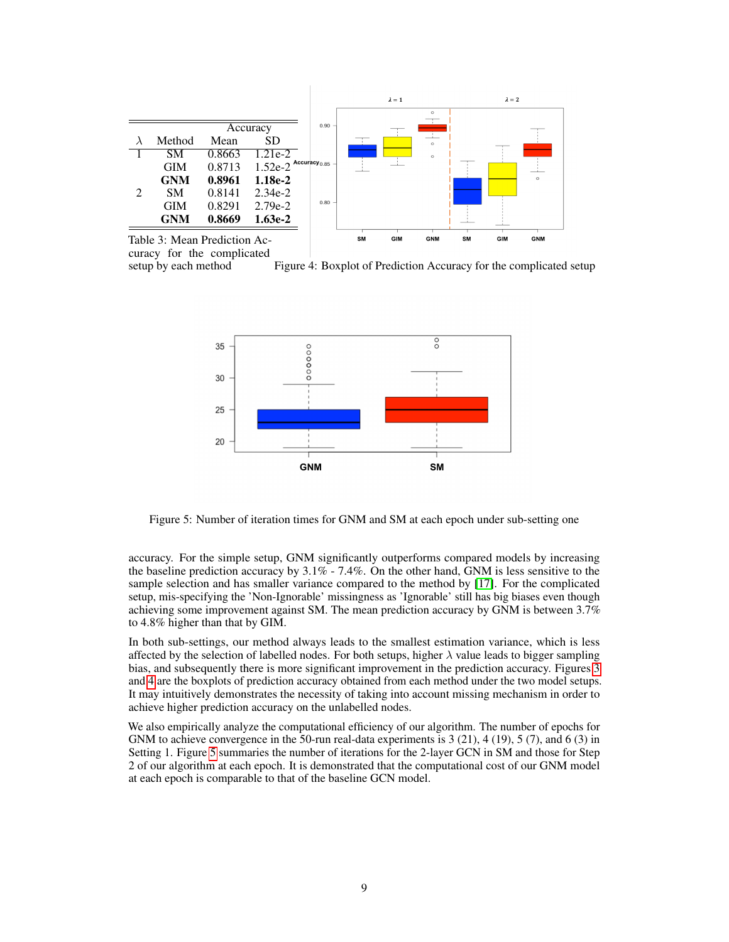

curacy for the complicated

setup by each method Figure 4: Boxplot of Prediction Accuracy for the complicated setup



Figure 5: Number of iteration times for GNM and SM at each epoch under sub-setting one

accuracy. For the simple setup, GNM significantly outperforms compared models by increasing the baseline prediction accuracy by  $3.1\%$  -  $7.4\%$ . On the other hand, GNM is less sensitive to the sample selection and has smaller variance compared to the method by [17]. For the complicated setup, mis-specifying the 'Non-Ignorable' missingness as 'Ignorable' still has big biases even though achieving some improvement against SM. The mean prediction accuracy by GNM is between 3.7% to 4.8% higher than that by GIM.

In both sub-settings, our method always leads to the smallest estimation variance, which is less affected by the selection of labelled nodes. For both setups, higher  $\lambda$  value leads to bigger sampling bias, and subsequently there is more significant improvement in the prediction accuracy. Figures 3 and 4 are the boxplots of prediction accuracy obtained from each method under the two model setups. It may intuitively demonstrates the necessity of taking into account missing mechanism in order to achieve higher prediction accuracy on the unlabelled nodes.

We also empirically analyze the computational efficiency of our algorithm. The number of epochs for GNM to achieve convergence in the 50-run real-data experiments is 3 (21), 4 (19), 5 (7), and 6 (3) in Setting 1. Figure 5 summaries the number of iterations for the 2-layer GCN in SM and those for Step 2 of our algorithm at each epoch. It is demonstrated that the computational cost of our GNM model at each epoch is comparable to that of the baseline GCN model.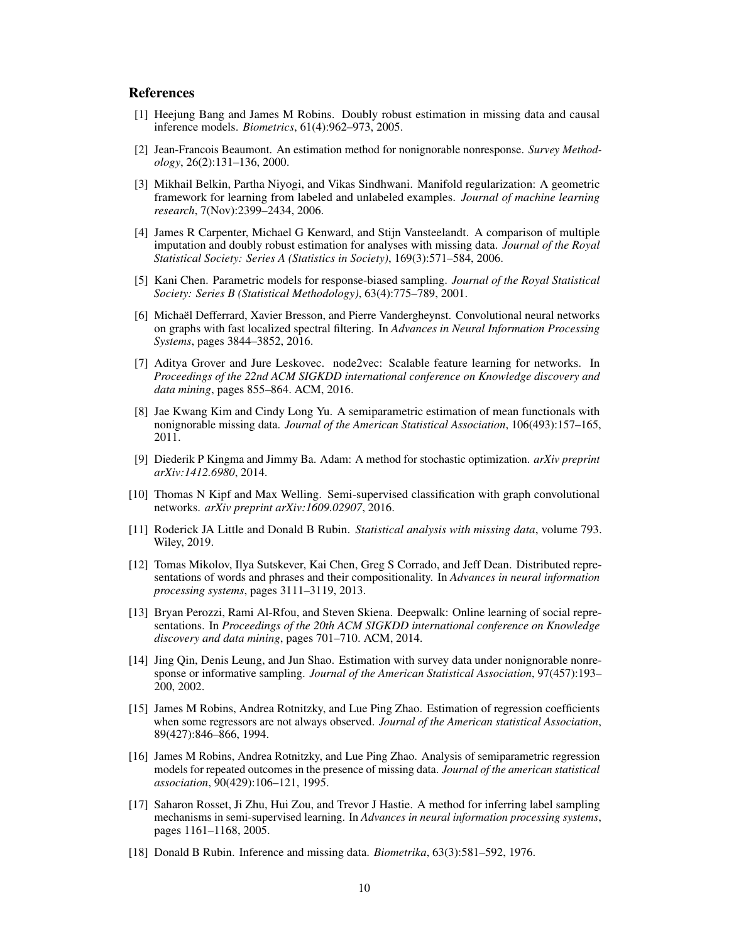# References

- [1] Heejung Bang and James M Robins. Doubly robust estimation in missing data and causal inference models. *Biometrics*, 61(4):962–973, 2005.
- [2] Jean-Francois Beaumont. An estimation method for nonignorable nonresponse. *Survey Methodology*, 26(2):131–136, 2000.
- [3] Mikhail Belkin, Partha Niyogi, and Vikas Sindhwani. Manifold regularization: A geometric framework for learning from labeled and unlabeled examples. *Journal of machine learning research*, 7(Nov):2399–2434, 2006.
- [4] James R Carpenter, Michael G Kenward, and Stijn Vansteelandt. A comparison of multiple imputation and doubly robust estimation for analyses with missing data. *Journal of the Royal Statistical Society: Series A (Statistics in Society)*, 169(3):571–584, 2006.
- [5] Kani Chen. Parametric models for response-biased sampling. *Journal of the Royal Statistical Society: Series B (Statistical Methodology)*, 63(4):775–789, 2001.
- [6] Michaël Defferrard, Xavier Bresson, and Pierre Vandergheynst. Convolutional neural networks on graphs with fast localized spectral filtering. In *Advances in Neural Information Processing Systems*, pages 3844–3852, 2016.
- [7] Aditya Grover and Jure Leskovec. node2vec: Scalable feature learning for networks. In *Proceedings of the 22nd ACM SIGKDD international conference on Knowledge discovery and data mining*, pages 855–864. ACM, 2016.
- [8] Jae Kwang Kim and Cindy Long Yu. A semiparametric estimation of mean functionals with nonignorable missing data. *Journal of the American Statistical Association*, 106(493):157–165, 2011.
- [9] Diederik P Kingma and Jimmy Ba. Adam: A method for stochastic optimization. *arXiv preprint arXiv:1412.6980*, 2014.
- [10] Thomas N Kipf and Max Welling. Semi-supervised classification with graph convolutional networks. *arXiv preprint arXiv:1609.02907*, 2016.
- [11] Roderick JA Little and Donald B Rubin. *Statistical analysis with missing data*, volume 793. Wiley, 2019.
- [12] Tomas Mikolov, Ilya Sutskever, Kai Chen, Greg S Corrado, and Jeff Dean. Distributed representations of words and phrases and their compositionality. In *Advances in neural information processing systems*, pages 3111–3119, 2013.
- [13] Bryan Perozzi, Rami Al-Rfou, and Steven Skiena. Deepwalk: Online learning of social representations. In *Proceedings of the 20th ACM SIGKDD international conference on Knowledge discovery and data mining*, pages 701–710. ACM, 2014.
- [14] Jing Qin, Denis Leung, and Jun Shao. Estimation with survey data under nonignorable nonresponse or informative sampling. *Journal of the American Statistical Association*, 97(457):193– 200, 2002.
- [15] James M Robins, Andrea Rotnitzky, and Lue Ping Zhao. Estimation of regression coefficients when some regressors are not always observed. *Journal of the American statistical Association*, 89(427):846–866, 1994.
- [16] James M Robins, Andrea Rotnitzky, and Lue Ping Zhao. Analysis of semiparametric regression models for repeated outcomes in the presence of missing data. *Journal of the american statistical association*, 90(429):106–121, 1995.
- [17] Saharon Rosset, Ji Zhu, Hui Zou, and Trevor J Hastie. A method for inferring label sampling mechanisms in semi-supervised learning. In *Advances in neural information processing systems*, pages 1161–1168, 2005.
- [18] Donald B Rubin. Inference and missing data. *Biometrika*, 63(3):581–592, 1976.